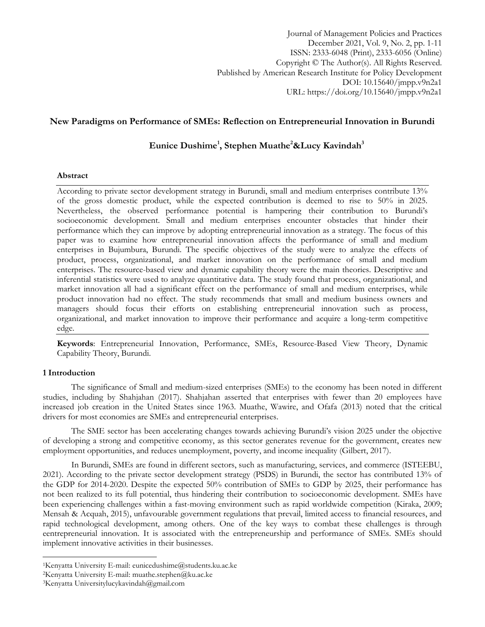Journal of Management Policies and Practices December 2021, Vol. 9, No. 2, pp. 1-11 ISSN: 2333-6048 (Print), 2333-6056 (Online) Copyright © The Author(s). All Rights Reserved. Published by American Research Institute for Policy Development DOI: 10.15640/jmpp.v9n2a1 URL: https://doi.org/10.15640/jmpp.v9n2a1

## **New Paradigms on Performance of SMEs: Reflection on Entrepreneurial Innovation in Burundi**

# **Eunice Dushime<sup>1</sup> , Stephen Muathe<sup>2</sup>&Lucy Kavindah<sup>3</sup>**

## **Abstract**

According to private sector development strategy in Burundi, small and medium enterprises contribute 13% of the gross domestic product, while the expected contribution is deemed to rise to 50% in 2025. Nevertheless, the observed performance potential is hampering their contribution to Burundi's socioeconomic development. Small and medium enterprises encounter obstacles that hinder their performance which they can improve by adopting entrepreneurial innovation as a strategy. The focus of this paper was to examine how entrepreneurial innovation affects the performance of small and medium enterprises in Bujumbura, Burundi. The specific objectives of the study were to analyze the effects of product, process, organizational, and market innovation on the performance of small and medium enterprises. The resource-based view and dynamic capability theory were the main theories. Descriptive and inferential statistics were used to analyze quantitative data. The study found that process, organizational, and market innovation all had a significant effect on the performance of small and medium enterprises, while product innovation had no effect. The study recommends that small and medium business owners and managers should focus their efforts on establishing entrepreneurial innovation such as process, organizational, and market innovation to improve their performance and acquire a long-term competitive edge.

**Keywords**: Entrepreneurial Innovation, Performance, SMEs, Resource-Based View Theory, Dynamic Capability Theory, Burundi.

## **1 Introduction**

 $\overline{\phantom{a}}$ 

The significance of Small and medium-sized enterprises (SMEs) to the economy has been noted in different studies, including by Shahjahan (2017). Shahjahan asserted that enterprises with fewer than 20 employees have increased job creation in the United States since 1963. Muathe, Wawire, and Ofafa (2013) noted that the critical drivers for most economies are SMEs and entrepreneurial enterprises.

The SME sector has been accelerating changes towards achieving Burundi's vision 2025 under the objective of developing a strong and competitive economy, as this sector generates revenue for the government, creates new employment opportunities, and reduces unemployment, poverty, and income inequality (Gilbert, 2017).

In Burundi, SMEs are found in different sectors, such as manufacturing, services, and commerce (ISTEEBU, 2021). According to the private sector development strategy (PSDS) in Burundi, the sector has contributed 13% of the GDP for 2014-2020. Despite the expected 50% contribution of SMEs to GDP by 2025, their performance has not been realized to its full potential, thus hindering their contribution to socioeconomic development. SMEs have been experiencing challenges within a fast-moving environment such as rapid worldwide competition (Kiraka, 2009; Mensah & Acquah, 2015), unfavourable government regulations that prevail, limited access to financial resources, and rapid technological development, among others. One of the key ways to combat these challenges is through eentrepreneurial innovation. It is associated with the entrepreneurship and performance of SMEs. SMEs should implement innovative activities in their businesses.

<sup>1</sup>Kenyatta University E-mail: eunicedushime@students.ku.ac.ke

<sup>2</sup>Kenyatta University E-mail: muathe.stephen@ku.ac.ke

<sup>3</sup>Kenyatta Universitylucykavindah@gmail.com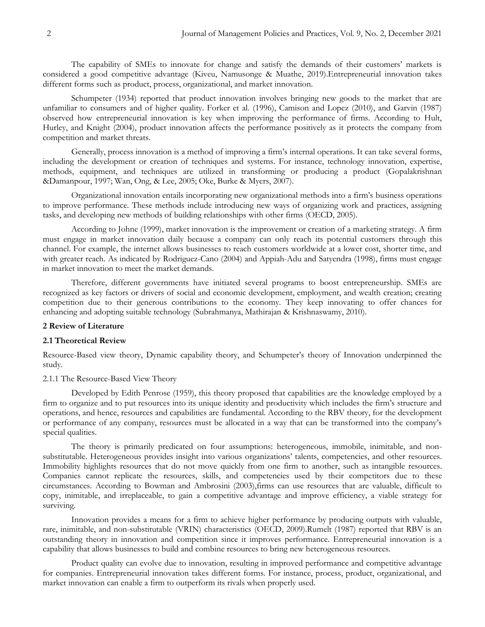The capability of SMEs to innovate for change and satisfy the demands of their customers' markets is considered a good competitive advantage (Kiveu, Namusonge & Muathe, 2019).Entrepreneurial innovation takes different forms such as product, process, organizational, and market innovation.

Schumpeter (1934) reported that product innovation involves bringing new goods to the market that are unfamiliar to consumers and of higher quality. Forker et al. (1996), Camison and Lopez (2010), and Garvin (1987) observed how entrepreneurial innovation is key when improving the performance of firms. According to Hult, Hurley, and Knight (2004), product innovation affects the performance positively as it protects the company from competition and market threats.

Generally, process innovation is a method of improving a firm's internal operations. It can take several forms, including the development or creation of techniques and systems. For instance, technology innovation, expertise, methods, equipment, and techniques are utilized in transforming or producing a product (Gopalakrishnan &Damanpour, 1997; Wan, Ong, & Lee, 2005; Oke, Burke & Myers, 2007).

Organizational innovation entails incorporating new organizational methods into a firm's business operations to improve performance. These methods include introducing new ways of organizing work and practices, assigning tasks, and developing new methods of building relationships with other firms (OECD, 2005).

According to Johne (1999), market innovation is the improvement or creation of a marketing strategy. A firm must engage in market innovation daily because a company can only reach its potential customers through this channel. For example, the internet allows businesses to reach customers worldwide at a lower cost, shorter time, and with greater reach. As indicated by Rodriguez-Cano (2004) and Appiah-Adu and Satyendra (1998), firms must engage in market innovation to meet the market demands.

Therefore, different governments have initiated several programs to boost entrepreneurship. SMEs are recognized as key factors or drivers of social and economic development, employment, and wealth creation; creating competition due to their generous contributions to the economy. They keep innovating to offer chances for enhancing and adopting suitable technology (Subrahmanya, Mathirajan & Krishnaswamy, 2010).

## **2 Review of Literature**

#### **2.1 Theoretical Review**

Resource-Based view theory, Dynamic capability theory, and Schumpeter's theory of Innovation underpinned the study.

## 2.1.1 The Resource-Based View Theory

Developed by Edith Penrose (1959), this theory proposed that capabilities are the knowledge employed by a firm to organize and to put resources into its unique identity and productivity which includes the firm's structure and operations, and hence, resources and capabilities are fundamental. According to the RBV theory, for the development or performance of any company, resources must be allocated in a way that can be transformed into the company's special qualities.

The theory is primarily predicated on four assumptions: heterogeneous, immobile, inimitable, and nonsubstitutable. Heterogeneous provides insight into various organizations' talents, competencies, and other resources. Immobility highlights resources that do not move quickly from one firm to another, such as intangible resources. Companies cannot replicate the resources, skills, and competencies used by their competitors due to these circumstances. According to Bowman and Ambrosini (2003),firms can use resources that are valuable, difficult to copy, inimitable, and irreplaceable, to gain a competitive advantage and improve efficiency, a viable strategy for surviving.

Innovation provides a means for a firm to achieve higher performance by producing outputs with valuable, rare, inimitable, and non-substitutable (VRIN) characteristics (OECD, 2009).Rumelt (1987) reported that RBV is an outstanding theory in innovation and competition since it improves performance. Entrepreneurial innovation is a capability that allows businesses to build and combine resources to bring new heterogeneous resources.

Product quality can evolve due to innovation, resulting in improved performance and competitive advantage for companies. Entrepreneurial innovation takes different forms. For instance, process, product, organizational, and market innovation can enable a firm to outperform its rivals when properly used.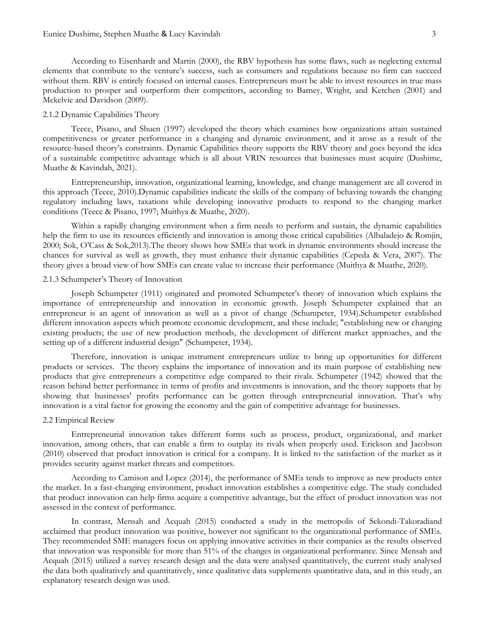According to Eisenhardt and Martin (2000), the RBV hypothesis has some flaws, such as neglecting external elements that contribute to the venture's success, such as consumers and regulations because no firm can succeed without them. RBV is entirely focused on internal causes. Entrepreneurs must be able to invest resources in true mass production to prosper and outperform their competitors, according to Barney, Wright, and Ketchen (2001) and Mckelvie and Davidson (2009).

## 2.1.2 Dynamic Capabilities Theory

Teece, Pisano, and Shuen (1997) developed the theory which examines how organizations attain sustained competitiveness or greater performance in a changing and dynamic environment, and it arose as a result of the resource-based theory's constraints. Dynamic Capabilities theory supports the RBV theory and goes beyond the idea of a sustainable competitive advantage which is all about VRIN resources that businesses must acquire (Dushime, Muathe & Kavindah, 2021).

Entrepreneurship, innovation, organizational learning, knowledge, and change management are all covered in this approach (Teece, 2010).Dynamic capabilities indicate the skills of the company of behaving towards the changing regulatory including laws, taxations while developing innovative products to respond to the changing market conditions (Teece & Pisano, 1997; Muithya & Muathe, 2020).

Within a rapidly changing environment when a firm needs to perform and sustain, the dynamic capabilities help the firm to use its resources efficiently and innovation is among those critical capabilities (Albaladejo & Romjin, 2000; Sok, O'Cass & Sok,2013).The theory shows how SMEs that work in dynamic environments should increase the chances for survival as well as growth, they must enhance their dynamic capabilities (Cepeda & Vera, 2007). The theory gives a broad view of how SMEs can create value to increase their performance (Muithya & Muathe, 2020).

## 2.1.3 Schumpeter's Theory of Innovation

Joseph Schumpeter (1911) originated and promoted Schumpeter's theory of innovation which explains the importance of entrepreneurship and innovation in economic growth. Joseph Schumpeter explained that an entrepreneur is an agent of innovation as well as a pivot of change (Schumpeter, 1934).Schumpeter established different innovation aspects which promote economic development, and these include; "establishing new or changing existing products; the use of new production methods, the development of different market approaches, and the setting up of a different industrial design" (Schumpeter, 1934).

Therefore, innovation is unique instrument entrepreneurs utilize to bring up opportunities for different products or services. The theory explains the importance of innovation and its main purpose of establishing new products that give entrepreneurs a competitive edge compared to their rivals. Schumpeter (1942) showed that the reason behind better performance in terms of profits and investments is innovation, and the theory supports that by showing that businesses' profits performance can be gotten through entrepreneurial innovation. That's why innovation is a vital factor for growing the economy and the gain of competitive advantage for businesses.

#### 2.2 Empirical Review

Entrepreneurial innovation takes different forms such as process, product, organizational, and market innovation, among others, that can enable a firm to outplay its rivals when properly used. Erickson and Jacobson (2010) observed that product innovation is critical for a company. It is linked to the satisfaction of the market as it provides security against market threats and competitors.

According to Camison and Lopez (2014), the performance of SMEs tends to improve as new products enter the market. In a fast-changing environment, product innovation establishes a competitive edge. The study concluded that product innovation can help firms acquire a competitive advantage, but the effect of product innovation was not assessed in the context of performance.

In contrast, Mensah and Acquah (2015) conducted a study in the metropolis of Sekondi-Takoradiand acclaimed that product innovation was positive, however not significant to the organizational performance of SMEs. They recommended SME managers focus on applying innovative activities in their companies as the results observed that innovation was responsible for more than 51% of the changes in organizational performance. Since Mensah and Acquah (2015) utilized a survey research design and the data were analysed quantitatively, the current study analysed the data both qualitatively and quantitatively, since qualitative data supplements quantitative data, and in this study, an explanatory research design was used.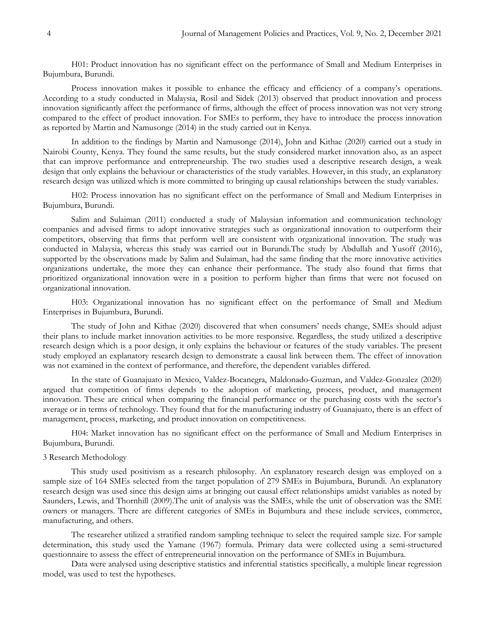H01: Product innovation has no significant effect on the performance of Small and Medium Enterprises in Bujumbura, Burundi.

Process innovation makes it possible to enhance the efficacy and efficiency of a company's operations. According to a study conducted in Malaysia, Rosil and Sidek (2013) observed that product innovation and process innovation significantly affect the performance of firms, although the effect of process innovation was not very strong compared to the effect of product innovation. For SMEs to perform, they have to introduce the process innovation as reported by Martin and Namusonge (2014) in the study carried out in Kenya.

In addition to the findings by Martin and Namusonge (2014), John and Kithae (2020) carried out a study in Nairobi County, Kenya. They found the same results, but the study considered market innovation also, as an aspect that can improve performance and entrepreneurship. The two studies used a descriptive research design, a weak design that only explains the behaviour or characteristics of the study variables. However, in this study, an explanatory research design was utilized which is more committed to bringing up causal relationships between the study variables.

H02: Process innovation has no significant effect on the performance of Small and Medium Enterprises in Bujumbura, Burundi.

Salim and Sulaiman (2011) conducted a study of Malaysian information and communication technology companies and advised firms to adopt innovative strategies such as organizational innovation to outperform their competitors, observing that firms that perform well are consistent with organizational innovation. The study was conducted in Malaysia, whereas this study was carried out in Burundi.The study by Abdullah and Yusoff (2016), supported by the observations made by Salim and Sulaiman, had the same finding that the more innovative activities organizations undertake, the more they can enhance their performance. The study also found that firms that prioritized organizational innovation were in a position to perform higher than firms that were not focused on organizational innovation.

H03: Organizational innovation has no significant effect on the performance of Small and Medium Enterprises in Bujumbura, Burundi.

The study of John and Kithae (2020) discovered that when consumers' needs change, SMEs should adjust their plans to include market innovation activities to be more responsive. Regardless, the study utilized a descriptive research design which is a poor design, it only explains the behaviour or features of the study variables. The present study employed an explanatory research design to demonstrate a causal link between them. The effect of innovation was not examined in the context of performance, and therefore, the dependent variables differed.

In the state of Guanajuato in Mexico, Valdez-Bocanegra, Maldonado-Guzman, and Valdez-Gonzalez (2020) argued that competition of firms depends to the adoption of marketing, process, product, and management innovation. These are critical when comparing the financial performance or the purchasing costs with the sector's average or in terms of technology. They found that for the manufacturing industry of Guanajuato, there is an effect of management, process, marketing, and product innovation on competitiveness.

H04: Market innovation has no significant effect on the performance of Small and Medium Enterprises in Bujumbura, Burundi.

## 3 Research Methodology

This study used positivism as a research philosophy. An explanatory research design was employed on a sample size of 164 SMEs selected from the target population of 279 SMEs in Bujumbura, Burundi. An explanatory research design was used since this design aims at bringing out causal effect relationships amidst variables as noted by Saunders, Lewis, and Thornhill (2009).The unit of analysis was the SMEs, while the unit of observation was the SME owners or managers. There are different categories of SMEs in Bujumbura and these include services, commerce, manufacturing, and others.

The researcher utilized a stratified random sampling technique to select the required sample size. For sample determination, this study used the Yamane (1967) formula. Primary data were collected using a semi-structured questionnaire to assess the effect of entrepreneurial innovation on the performance of SMEs in Bujumbura.

Data were analysed using descriptive statistics and inferential statistics specifically, a multiple linear regression model, was used to test the hypotheses.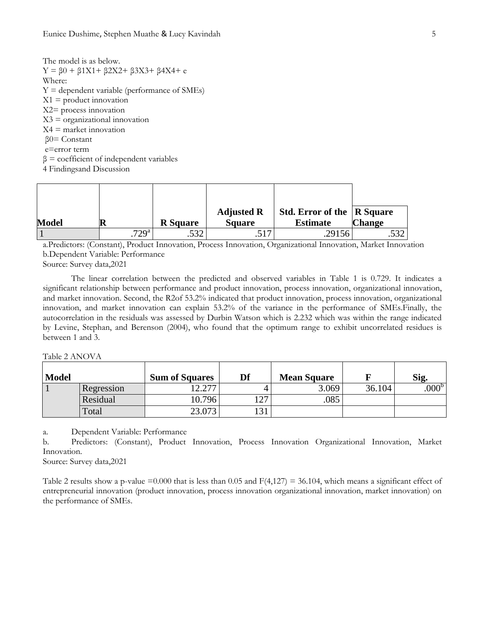The model is as below.  $Y = \beta 0 + \beta 1X1 + \beta 2X2 + \beta 3X3 + \beta 4X4 + e$ Where:  $Y =$  dependent variable (performance of SMEs)  $X1$  = product innovation X2= process innovation  $X3 =$  organizational innovation  $X4$  = market innovation β0= Constant e=error term  $β = coefficient of independent variables$ 4 Findingsand Discussion

| <b>Model</b> | R                  | <b>R</b> Square | <b>Adjusted R</b><br><b>Square</b> | <b>Std. Error of the R Square</b><br><b>Estimate</b> | <b>Change</b> |
|--------------|--------------------|-----------------|------------------------------------|------------------------------------------------------|---------------|
|              | $729^{\mathrm{a}}$ | ເາາ             | 517                                | .29156                                               |               |

a.Predictors: (Constant), Product Innovation, Process Innovation, Organizational Innovation, Market Innovation b.Dependent Variable: Performance

Source: Survey data,2021

The linear correlation between the predicted and observed variables in Table 1 is 0.729. It indicates a significant relationship between performance and product innovation, process innovation, organizational innovation, and market innovation. Second, the R2of 53.2% indicated that product innovation, process innovation, organizational innovation, and market innovation can explain 53.2% of the variance in the performance of SMEs.Finally, the autocorrelation in the residuals was assessed by Durbin Watson which is 2.232 which was within the range indicated by Levine, Stephan, and Berenson (2004), who found that the optimum range to exhibit uncorrelated residues is between 1 and 3.

Table 2 ANOVA

| <b>Model</b> |            | <b>Sum of Squares</b> | Df  | <b>Mean Square</b> |        | Sig               |
|--------------|------------|-----------------------|-----|--------------------|--------|-------------------|
|              | Regression | 17 רמ<br>ا ڪي ڪ       |     | 3.069              | 36.104 | .000 <sup>b</sup> |
|              | Residual   | 10.796                | ר ו | 085                |        |                   |
|              | Total      | 23.073                | 131 |                    |        |                   |

a. Dependent Variable: Performance

b. Predictors: (Constant), Product Innovation, Process Innovation Organizational Innovation, Market Innovation.

Source: Survey data,2021

Table 2 results show a p-value =0.000 that is less than 0.05 and  $F(4,127) = 36.104$ , which means a significant effect of entrepreneurial innovation (product innovation, process innovation organizational innovation, market innovation) on the performance of SMEs.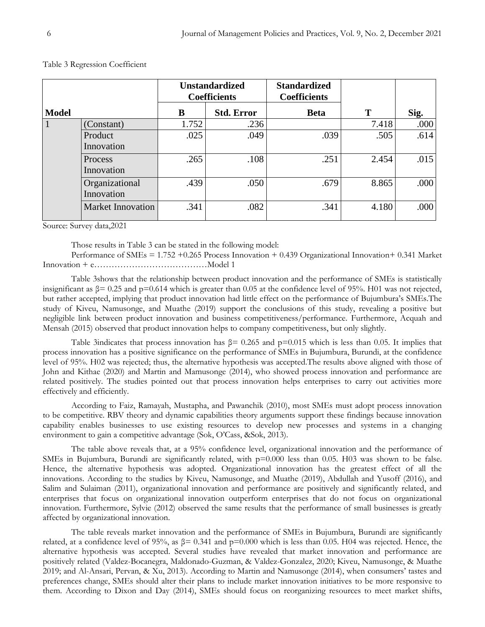|              |                              | <b>Unstandardized</b><br><b>Coefficients</b> |                   | <b>Standardized</b><br><b>Coefficients</b> |       |      |
|--------------|------------------------------|----------------------------------------------|-------------------|--------------------------------------------|-------|------|
| <b>Model</b> |                              | B                                            | <b>Std. Error</b> | <b>Beta</b>                                | T     | Sig. |
| $\mathbf{1}$ | (Constant)                   | 1.752                                        | .236              |                                            | 7.418 | .000 |
|              | Product<br>Innovation        | .025                                         | .049              | .039                                       | .505  | .614 |
|              | Process<br>Innovation        | .265                                         | .108              | .251                                       | 2.454 | .015 |
|              | Organizational<br>Innovation | .439                                         | .050              | .679                                       | 8.865 | .000 |
|              | <b>Market Innovation</b>     | .341                                         | .082              | .341                                       | 4.180 | .000 |

#### Table 3 Regression Coefficient

Source: Survey data,2021

Those results in Table 3 can be stated in the following model:

Performance of SMEs = 1.752 +0.265 Process Innovation + 0.439 Organizational Innovation+ 0.341 Market Innovation + e…………………………………Model 1

Table 3shows that the relationship between product innovation and the performance of SMEs is statistically insignificant as  $\beta$  = 0.25 and p=0.614 which is greater than 0.05 at the confidence level of 95%. H01 was not rejected, but rather accepted, implying that product innovation had little effect on the performance of Bujumbura's SMEs.The study of Kiveu, Namusonge, and Muathe (2019) support the conclusions of this study, revealing a positive but negligible link between product innovation and business competitiveness/performance. Furthermore, Acquah and Mensah (2015) observed that product innovation helps to company competitiveness, but only slightly.

Table 3indicates that process innovation has  $\beta$ = 0.265 and p=0.015 which is less than 0.05. It implies that process innovation has a positive significance on the performance of SMEs in Bujumbura, Burundi, at the confidence level of 95%. H02 was rejected; thus, the alternative hypothesis was accepted.The results above aligned with those of John and Kithae (2020) and Martin and Mamusonge (2014), who showed process innovation and performance are related positively. The studies pointed out that process innovation helps enterprises to carry out activities more effectively and efficiently.

According to Faiz, Ramayah, Mustapha, and Pawanchik (2010), most SMEs must adopt process innovation to be competitive. RBV theory and dynamic capabilities theory arguments support these findings because innovation capability enables businesses to use existing resources to develop new processes and systems in a changing environment to gain a competitive advantage (Sok, O'Cass, &Sok, 2013).

The table above reveals that, at a 95% confidence level, organizational innovation and the performance of SMEs in Bujumbura, Burundi are significantly related, with  $p=0.000$  less than 0.05. H03 was shown to be false. Hence, the alternative hypothesis was adopted. Organizational innovation has the greatest effect of all the innovations. According to the studies by Kiveu, Namusonge, and Muathe (2019), Abdullah and Yusoff (2016), and Salim and Sulaiman (2011), organizational innovation and performance are positively and significantly related, and enterprises that focus on organizational innovation outperform enterprises that do not focus on organizational innovation. Furthermore, Sylvie (2012) observed the same results that the performance of small businesses is greatly affected by organizational innovation.

The table reveals market innovation and the performance of SMEs in Bujumbura, Burundi are significantly related, at a confidence level of 95%, as  $\beta$  = 0.341 and p=0.000 which is less than 0.05. H04 was rejected. Hence, the alternative hypothesis was accepted. Several studies have revealed that market innovation and performance are positively related (Valdez-Bocanegra, Maldonado-Guzman, & Valdez-Gonzalez, 2020; Kiveu, Namusonge, & Muathe 2019; and Al-Ansari, Pervan, & Xu, 2013). According to Martin and Namusonge (2014), when consumers' tastes and preferences change, SMEs should alter their plans to include market innovation initiatives to be more responsive to them. According to Dixon and Day (2014), SMEs should focus on reorganizing resources to meet market shifts,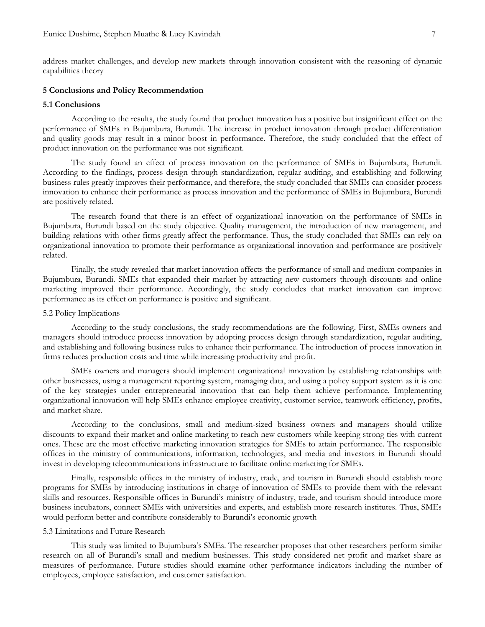address market challenges, and develop new markets through innovation consistent with the reasoning of dynamic capabilities theory

## **5 Conclusions and Policy Recommendation**

## **5.1 Conclusions**

According to the results, the study found that product innovation has a positive but insignificant effect on the performance of SMEs in Bujumbura, Burundi. The increase in product innovation through product differentiation and quality goods may result in a minor boost in performance. Therefore, the study concluded that the effect of product innovation on the performance was not significant.

The study found an effect of process innovation on the performance of SMEs in Bujumbura, Burundi. According to the findings, process design through standardization, regular auditing, and establishing and following business rules greatly improves their performance, and therefore, the study concluded that SMEs can consider process innovation to enhance their performance as process innovation and the performance of SMEs in Bujumbura, Burundi are positively related.

The research found that there is an effect of organizational innovation on the performance of SMEs in Bujumbura, Burundi based on the study objective. Quality management, the introduction of new management, and building relations with other firms greatly affect the performance. Thus, the study concluded that SMEs can rely on organizational innovation to promote their performance as organizational innovation and performance are positively related.

Finally, the study revealed that market innovation affects the performance of small and medium companies in Bujumbura, Burundi. SMEs that expanded their market by attracting new customers through discounts and online marketing improved their performance. Accordingly, the study concludes that market innovation can improve performance as its effect on performance is positive and significant.

## 5.2 Policy Implications

According to the study conclusions, the study recommendations are the following. First, SMEs owners and managers should introduce process innovation by adopting process design through standardization, regular auditing, and establishing and following business rules to enhance their performance. The introduction of process innovation in firms reduces production costs and time while increasing productivity and profit.

SMEs owners and managers should implement organizational innovation by establishing relationships with other businesses, using a management reporting system, managing data, and using a policy support system as it is one of the key strategies under entrepreneurial innovation that can help them achieve performance. Implementing organizational innovation will help SMEs enhance employee creativity, customer service, teamwork efficiency, profits, and market share.

According to the conclusions, small and medium-sized business owners and managers should utilize discounts to expand their market and online marketing to reach new customers while keeping strong ties with current ones. These are the most effective marketing innovation strategies for SMEs to attain performance. The responsible offices in the ministry of communications, information, technologies, and media and investors in Burundi should invest in developing telecommunications infrastructure to facilitate online marketing for SMEs.

Finally, responsible offices in the ministry of industry, trade, and tourism in Burundi should establish more programs for SMEs by introducing institutions in charge of innovation of SMEs to provide them with the relevant skills and resources. Responsible offices in Burundi's ministry of industry, trade, and tourism should introduce more business incubators, connect SMEs with universities and experts, and establish more research institutes. Thus, SMEs would perform better and contribute considerably to Burundi's economic growth

#### 5.3 Limitations and Future Research

This study was limited to Bujumbura's SMEs. The researcher proposes that other researchers perform similar research on all of Burundi's small and medium businesses. This study considered net profit and market share as measures of performance. Future studies should examine other performance indicators including the number of employees, employee satisfaction, and customer satisfaction.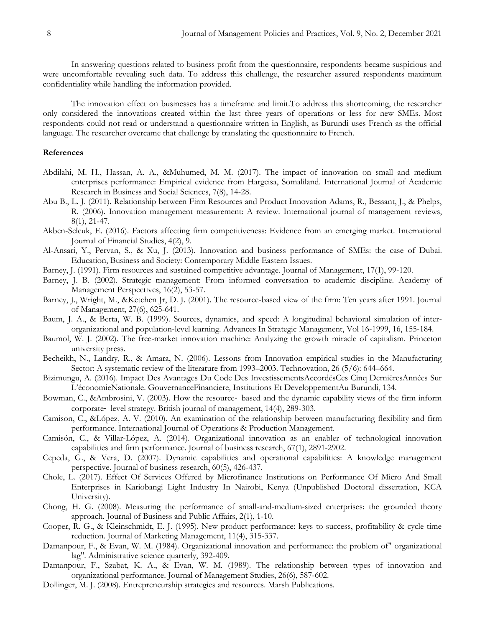In answering questions related to business profit from the questionnaire, respondents became suspicious and were uncomfortable revealing such data. To address this challenge, the researcher assured respondents maximum confidentiality while handling the information provided.

The innovation effect on businesses has a timeframe and limit.To address this shortcoming, the researcher only considered the innovations created within the last three years of operations or less for new SMEs. Most respondents could not read or understand a questionnaire written in English, as Burundi uses French as the official language. The researcher overcame that challenge by translating the questionnaire to French.

### **References**

- Abdilahi, M. H., Hassan, A. A., &Muhumed, M. M. (2017). The impact of innovation on small and medium enterprises performance: Empirical evidence from Hargeisa, Somaliland. International Journal of Academic Research in Business and Social Sciences, 7(8), 14-28.
- Abu B., L. J. (2011). Relationship between Firm Resources and Product Innovation Adams, R., Bessant, J., & Phelps, R. (2006). Innovation management measurement: A review. International journal of management reviews, 8(1), 21-47.
- Akben-Selcuk, E. (2016). Factors affecting firm competitiveness: Evidence from an emerging market. International Journal of Financial Studies, 4(2), 9.
- Al-Ansari, Y., Pervan, S., & Xu, J. (2013). Innovation and business performance of SMEs: the case of Dubai. Education, Business and Society: Contemporary Middle Eastern Issues.
- Barney, J. (1991). Firm resources and sustained competitive advantage. Journal of Management, 17(1), 99-120.
- Barney, J. B. (2002). Strategic management: From informed conversation to academic discipline. Academy of Management Perspectives, 16(2), 53-57.
- Barney, J., Wright, M., &Ketchen Jr, D. J. (2001). The resource-based view of the firm: Ten years after 1991. Journal of Management, 27(6), 625-641.
- Baum, J. A., & Berta, W. B. (1999). Sources, dynamics, and speed: A longitudinal behavioral simulation of interorganizational and population-level learning. Advances In Strategic Management, Vol 16-1999, 16, 155-184.
- Baumol, W. J. (2002). The free-market innovation machine: Analyzing the growth miracle of capitalism. Princeton university press.
- Becheikh, N., Landry, R., & Amara, N. (2006). Lessons from Innovation empirical studies in the Manufacturing Sector: A systematic review of the literature from 1993–2003. Technovation, 26 (5/6): 644–664.
- Bizimungu, A. (2016). Impact Des Avantages Du Code Des InvestissementsAccordésCes Cinq DernièresAnnées Sur L'économieNationale. GouvernanceFinanciere, Institutions Et DeveloppementAu Burundi, 134.
- Bowman, C., &Ambrosini, V. (2003). How the resource- based and the dynamic capability views of the firm inform corporate‐ level strategy. British journal of management, 14(4), 289-303.
- Camison, C., &López, A. V. (2010). An examination of the relationship between manufacturing flexibility and firm performance. International Journal of Operations & Production Management.
- Camisón, C., & Villar-López, A. (2014). Organizational innovation as an enabler of technological innovation capabilities and firm performance. Journal of business research, 67(1), 2891-2902.
- Cepeda, G., & Vera, D. (2007). Dynamic capabilities and operational capabilities: A knowledge management perspective. Journal of business research, 60(5), 426-437.
- Chole, L. (2017). Effect Of Services Offered by Microfinance Institutions on Performance Of Micro And Small Enterprises in Kariobangi Light Industry In Nairobi, Kenya (Unpublished Doctoral dissertation, KCA University).
- Chong, H. G. (2008). Measuring the performance of small-and-medium-sized enterprises: the grounded theory approach. Journal of Business and Public Affairs, 2(1), 1-10.
- Cooper, R. G., & Kleinschmidt, E. J. (1995). New product performance: keys to success, profitability & cycle time reduction. Journal of Marketing Management, 11(4), 315-337.
- Damanpour, F., & Evan, W. M. (1984). Organizational innovation and performance: the problem of" organizational lag". Administrative science quarterly, 392-409.
- Damanpour, F., Szabat, K. A., & Evan, W. M. (1989). The relationship between types of innovation and organizational performance. Journal of Management Studies, 26(6), 587-602.
- Dollinger, M. J. (2008). Entrepreneurship strategies and resources. Marsh Publications.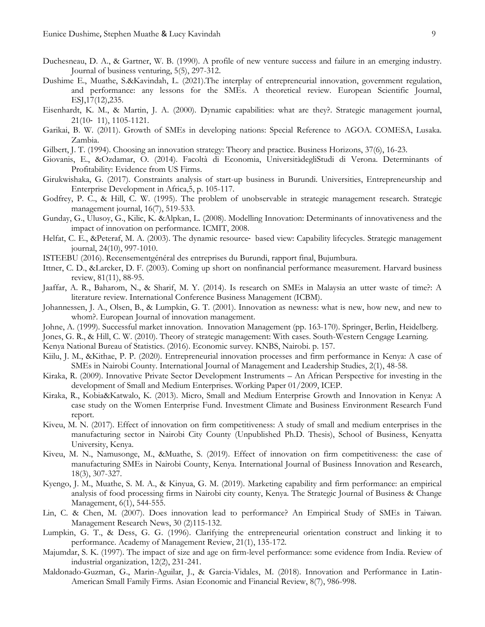- Duchesneau, D. A., & Gartner, W. B. (1990). A profile of new venture success and failure in an emerging industry. Journal of business venturing, 5(5), 297-312.
- Dushime E., Muathe, S.&Kavindah, L. (2021).The interplay of entrepreneurial innovation, government regulation, and performance: any lessons for the SMEs. A theoretical review. European Scientific Journal, ESJ,17(12),235.
- Eisenhardt, K. M., & Martin, J. A. (2000). Dynamic capabilities: what are they?. Strategic management journal, 21(10‐ 11), 1105-1121.
- Garikai, B. W. (2011). Growth of SMEs in developing nations: Special Reference to AGOA. COMESA, Lusaka. Zambia.
- Gilbert, J. T. (1994). Choosing an innovation strategy: Theory and practice. Business Horizons, 37(6), 16-23.
- Giovanis, E., &Ozdamar, O. (2014). Facoltà di Economia, UniversitàdegliStudi di Verona. Determinants of Profitability: Evidence from US Firms.
- Girukwishaka, G. (2017). Constraints analysis of start-up business in Burundi. Universities, Entrepreneurship and Enterprise Development in Africa,5, p. 105-117.
- Godfrey, P. C., & Hill, C. W. (1995). The problem of unobservable in strategic management research. Strategic management journal, 16(7), 519-533.
- Gunday, G., Ulusoy, G., Kilic, K. &Alpkan, L. (2008). Modelling Innovation: Determinants of innovativeness and the impact of innovation on performance. ICMIT, 2008.
- Helfat, C. E., &Peteraf, M. A. (2003). The dynamic resource‐ based view: Capability lifecycles. Strategic management journal, 24(10), 997-1010.
- ISTEEBU (2016). Recensementgénéral des entreprises du Burundi, rapport final, Bujumbura.
- Ittner, C. D., &Larcker, D. F. (2003). Coming up short on nonfinancial performance measurement. Harvard business review, 81(11), 88-95.
- Jaaffar, A. R., Baharom, N., & Sharif, M. Y. (2014). Is research on SMEs in Malaysia an utter waste of time?: A literature review. International Conference Business Management (ICBM).
- Johannessen, J. A., Olsen, B., & Lumpkin, G. T. (2001). Innovation as newness: what is new, how new, and new to whom?. European Journal of innovation management.
- Johne, A. (1999). Successful market innovation. Innovation Management (pp. 163-170). Springer, Berlin, Heidelberg.
- Jones, G. R., & Hill, C. W. (2010). Theory of strategic management: With cases. South-Western Cengage Learning.
- Kenya National Bureau of Statistics. (2016). Economic survey. KNBS, Nairobi. p. 157.
- Kiilu, J. M., &Kithae, P. P. (2020). Entrepreneurial innovation processes and firm performance in Kenya: A case of SMEs in Nairobi County. International Journal of Management and Leadership Studies, 2(1), 48-58.
- Kiraka, R. (2009). Innovative Private Sector Development Instruments An African Perspective for investing in the development of Small and Medium Enterprises. Working Paper 01/2009, ICEP.
- Kiraka, R., Kobia&Katwalo, K. (2013). Micro, Small and Medium Enterprise Growth and Innovation in Kenya: A case study on the Women Enterprise Fund. Investment Climate and Business Environment Research Fund report.
- Kiveu, M. N. (2017). Effect of innovation on firm competitiveness: A study of small and medium enterprises in the manufacturing sector in Nairobi City County (Unpublished Ph.D. Thesis), School of Business, Kenyatta University, Kenya.
- Kiveu, M. N., Namusonge, M., &Muathe, S. (2019). Effect of innovation on firm competitiveness: the case of manufacturing SMEs in Nairobi County, Kenya. International Journal of Business Innovation and Research, 18(3), 307-327.
- Kyengo, J. M., Muathe, S. M. A., & Kinyua, G. M. (2019). Marketing capability and firm performance: an empirical analysis of food processing firms in Nairobi city county, Kenya. The Strategic Journal of Business & Change Management, 6(1), 544-555.
- Lin, C. & Chen, M. (2007). Does innovation lead to performance? An Empirical Study of SMEs in Taiwan. Management Research News, 30 (2)115-132.
- Lumpkin, G. T., & Dess, G. G. (1996). Clarifying the entrepreneurial orientation construct and linking it to performance. Academy of Management Review, 21(1), 135-172.
- Majumdar, S. K. (1997). The impact of size and age on firm-level performance: some evidence from India. Review of industrial organization, 12(2), 231-241.
- Maldonado-Guzman, G., Marin-Aguilar, J., & Garcia-Vidales, M. (2018). Innovation and Performance in Latin-American Small Family Firms. Asian Economic and Financial Review, 8(7), 986-998.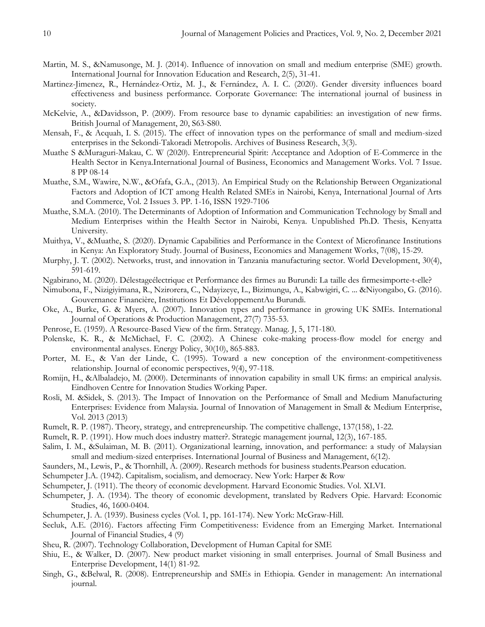- Martin, M. S., &Namusonge, M. J. (2014). Influence of innovation on small and medium enterprise (SME) growth. International Journal for Innovation Education and Research, 2(5), 31-41.
- Martinez-Jimenez, R., Hernández-Ortiz, M. J., & Fernández, A. I. C. (2020). Gender diversity influences board effectiveness and business performance. Corporate Governance: The international journal of business in society.
- McKelvie, A., &Davidsson, P. (2009). From resource base to dynamic capabilities: an investigation of new firms. British Journal of Management, 20, S63-S80.
- Mensah, F., & Acquah, I. S. (2015). The effect of innovation types on the performance of small and medium-sized enterprises in the Sekondi-Takoradi Metropolis. Archives of Business Research, 3(3).
- Muathe S &Muraguri-Makau, C. W (2020). Entrepreneurial Spirit: Acceptance and Adoption of E-Commerce in the Health Sector in Kenya.International Journal of Business, Economics and Management Works. Vol. 7 Issue. 8 PP 08-14
- Muathe, S.M., Wawire, N.W., &Ofafa, G.A., (2013). An Empirical Study on the Relationship Between Organizational Factors and Adoption of ICT among Health Related SMEs in Nairobi, Kenya, International Journal of Arts and Commerce, Vol. 2 Issues 3. PP. 1-16, ISSN 1929-7106
- Muathe, S.M.A. (2010). The Determinants of Adoption of Information and Communication Technology by Small and Medium Enterprises within the Health Sector in Nairobi, Kenya. Unpublished Ph.D. Thesis, Kenyatta University.
- Muithya, V., &Muathe, S. (2020). Dynamic Capabilities and Performance in the Context of Microfinance Institutions in Kenya: An Exploratory Study. Journal of Business, Economics and Management Works, 7(08), 15-29.
- Murphy, J. T. (2002). Networks, trust, and innovation in Tanzania manufacturing sector. World Development, 30(4), 591-619.
- Ngabirano, M. (2020). Délestageélectrique et Performance des firmes au Burundi: La taille des firmesimporte-t-elle?
- Nimubona, F., Nizigiyimana, R., Nzirorera, C., Ndayizeye, L., Bizimungu, A., Kabwigiri, C. ... &Niyongabo, G. (2016). Gouvernance Financière, Institutions Et DéveloppementAu Burundi.
- Oke, A., Burke, G. & Myers, A. (2007). Innovation types and performance in growing UK SMEs. International Journal of Operations & Production Management, 27(7) 735-53.
- Penrose, E. (1959). A Resource-Based View of the firm. Strategy. Manag. J, 5, 171-180.
- Polenske, K. R., & McMichael, F. C. (2002). A Chinese coke-making process-flow model for energy and environmental analyses. Energy Policy, 30(10), 865-883.
- Porter, M. E., & Van der Linde, C. (1995). Toward a new conception of the environment-competitiveness relationship. Journal of economic perspectives, 9(4), 97-118.
- Romijn, H., &Albaladejo, M. (2000). Determinants of innovation capability in small UK firms: an empirical analysis. Eindhoven Centre for Innovation Studies Working Paper.
- Rosli, M. &Sidek, S. (2013). The Impact of Innovation on the Performance of Small and Medium Manufacturing Enterprises: Evidence from Malaysia. Journal of Innovation of Management in Small & Medium Enterprise, Vol. 2013 (2013)
- Rumelt, R. P. (1987). Theory, strategy, and entrepreneurship. The competitive challenge, 137(158), 1-22.
- Rumelt, R. P. (1991). How much does industry matter?. Strategic management journal, 12(3), 167-185.
- Salim, I. M., &Sulaiman, M. B. (2011). Organizational learning, innovation, and performance: a study of Malaysian small and medium-sized enterprises. International Journal of Business and Management, 6(12).
- Saunders, M., Lewis, P., & Thornhill, A. (2009). Research methods for business students.Pearson education.
- Schumpeter J.A. (1942). Capitalism, socialism, and democracy. New York: Harper & Row
- Schumpeter, J. (1911). The theory of economic development. Harvard Economic Studies. Vol. XLVI.
- Schumpeter, J. A. (1934). The theory of economic development, translated by Redvers Opie. Harvard: Economic Studies, 46, 1600-0404.
- Schumpeter, J. A. (1939). Business cycles (Vol. 1, pp. 161-174). New York: McGraw-Hill.
- Secluk, A.E. (2016). Factors affecting Firm Competitiveness: Evidence from an Emerging Market. International Journal of Financial Studies, 4 (9)
- Sheu, R. (2007). Technology Collaboration, Development of Human Capital for SME
- Shiu, E., & Walker, D. (2007). New product market visioning in small enterprises. Journal of Small Business and Enterprise Development, 14(1) 81-92.
- Singh, G., &Belwal, R. (2008). Entrepreneurship and SMEs in Ethiopia. Gender in management: An international journal.